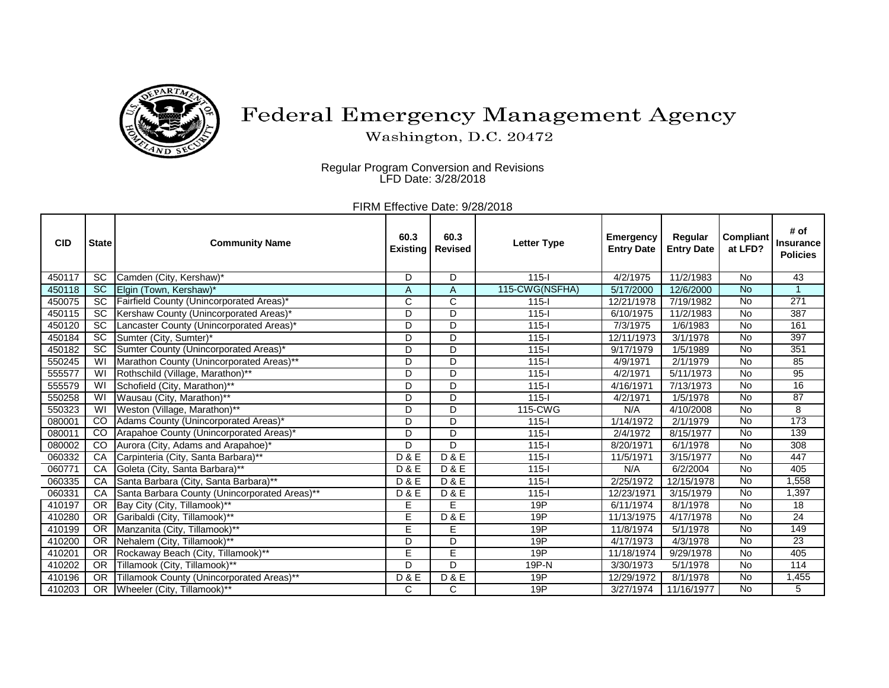

## Federal Emergency Management Agency

Washington, D.C. 20472

Regular Program Conversion and Revisions LFD Date: 3/28/2018

FIRM Effective Date: 9/28/2018

| <b>CID</b> | <b>State</b>            | <b>Community Name</b>                         | 60.3<br><b>Existing</b> | 60.3<br><b>Revised</b> | <b>Letter Type</b> | <b>Emergency</b><br><b>Entry Date</b> | Regular<br><b>Entry Date</b> | <b>Compliant</b><br>at LFD? | # of<br><b>Insurance</b><br><b>Policies</b> |
|------------|-------------------------|-----------------------------------------------|-------------------------|------------------------|--------------------|---------------------------------------|------------------------------|-----------------------------|---------------------------------------------|
| 450117     | <b>SC</b>               | Camden (City, Kershaw)*                       | D                       | D                      | $115 -$            | 4/2/1975                              | 11/2/1983                    | No                          | 43                                          |
| 450118     | SC                      | Elgin (Town, Kershaw)*                        | Α                       | A                      | 115-CWG(NSFHA)     | 5/17/2000                             | 12/6/2000                    | <b>No</b>                   | $\overline{1}$                              |
| 450075     | <b>SC</b>               | Fairfield County (Unincorporated Areas)*      | C                       | $\overline{\text{c}}$  | $115 -$            | 12/21/1978                            | 7/19/1982                    | No                          | $\overline{271}$                            |
| 450115     | <b>SC</b>               | Kershaw County (Unincorporated Areas)*        | D                       | D                      | $115 -$            | 6/10/1975                             | 11/2/1983                    | <b>No</b>                   | 387                                         |
| 450120     | $\overline{SC}$         | Lancaster County (Unincorporated Areas)*      | D                       | D                      | $115 -$            | 7/3/1975                              | 1/6/1983                     | $\overline{N}$              | 161                                         |
| 450184     | $\overline{SC}$         | Sumter (City, Sumter)*                        | D                       | D                      | $115-I$            | 12/11/1973                            | 3/1/1978                     | No                          | 397                                         |
| 450182     | $\overline{SC}$         | Sumter County (Unincorporated Areas)*         | D                       | D                      | $115 -$            | 9/17/1979                             | 1/5/1989                     | No                          | 351                                         |
| 550245     | W                       | Marathon County (Unincorporated Areas)**      | D                       | D                      | $115 -$            | 4/9/1971                              | 2/1/1979                     | $\overline{N}$              | 85                                          |
| 555577     | WI                      | Rothschild (Village, Marathon)**              | D                       | D                      | $115 -$            | 4/2/1971                              | 5/11/1973                    | No                          | 95                                          |
| 555579     | $\overline{\mathsf{W}}$ | Schofield (City, Marathon)**                  | D                       | D                      | $115 -$            | 4/16/1971                             | 7/13/1973                    | No                          | 16                                          |
| 550258     | $\overline{\mathsf{W}}$ | Wausau (City, Marathon)**                     | D                       | D                      | $115 -$            | 4/2/1971                              | 1/5/1978                     | No                          | 87                                          |
| 550323     | W                       | Weston (Village, Marathon)**                  | D                       | D                      | 115-CWG            | N/A                                   | 4/10/2008                    | No                          | 8                                           |
| 080001     | CO                      | Adams County (Unincorporated Areas)*          | D                       | D                      | $115 -$            | 1/14/1972                             | 2/1/1979                     | No                          | 173                                         |
| 080011     | CO                      | Arapahoe County (Unincorporated Areas)*       | D                       | D                      | $115 -$            | 2/4/1972                              | 8/15/1977                    | <b>No</b>                   | 139                                         |
| 080002     | CO                      | Aurora (City, Adams and Arapahoe)*            | D                       | $\mathsf{D}$           | $115 -$            | 8/20/1971                             | 6/1/1978                     | <b>No</b>                   | 308                                         |
| 060332     | CA                      | Carpinteria (City, Santa Barbara)**           | <b>D&amp;E</b>          | <b>D&amp;E</b>         | $115 -$            | 11/5/1971                             | 3/15/1977                    | $\overline{N}$              | 447                                         |
| 060771     | CA                      | Goleta (City, Santa Barbara)**                | <b>D&amp;E</b>          | D & E                  | $115 -$            | N/A                                   | 6/2/2004                     | No                          | 405                                         |
| 060335     | CA                      | Santa Barbara (City, Santa Barbara)**         | <b>D&amp;E</b>          | <b>D&amp;E</b>         | $115 -$            | 2/25/1972                             | 12/15/1978                   | <b>No</b>                   | 1,558                                       |
| 060331     | CA                      | Santa Barbara County (Unincorporated Areas)** | D & E                   | <b>D&amp;E</b>         | $115 -$            | 12/23/1971                            | 3/15/1979                    | No                          | 1,397                                       |
| 410197     | <b>OR</b>               | Bay City (City, Tillamook)**                  | E                       | E                      | 19P                | 6/11/1974                             | 8/1/1978                     | No                          | $\overline{18}$                             |
| 410280     | <b>OR</b>               | Garibaldi (City, Tillamook)**                 | E                       | <b>D&amp;E</b>         | 19P                | 11/13/1975                            | 4/17/1978                    | <b>No</b>                   | $\overline{24}$                             |
| 410199     | $\overline{OR}$         | Manzanita (City, Tillamook)**                 | E                       | E                      | 19P                | 11/8/1974                             | $\overline{5}/1/1978$        | $\overline{N}$              | 149                                         |
| 410200     | <b>OR</b>               | Nehalem (City, Tillamook)**                   | D                       | D                      | 19P                | 4/17/1973                             | 4/3/1978                     | <b>No</b>                   | $\overline{23}$                             |
| 410201     | <b>OR</b>               | Rockaway Beach (City, Tillamook)**            | E                       | Ē                      | 19P                | 11/18/1974                            | 9/29/1978                    | No                          | 405                                         |
| 410202     | <b>OR</b>               | Tillamook (City, Tillamook)**                 | D                       | $\mathsf{D}$           | 19P-N              | 3/30/1973                             | 5/1/1978                     | No                          | 114                                         |
| 410196     | <b>OR</b>               | Tillamook County (Unincorporated Areas)**     | <b>D&amp;E</b>          | <b>D&amp;E</b>         | 19P                | 12/29/1972                            | 8/1/1978                     | No                          | 1,455                                       |
| 410203     |                         | OR Wheeler (City, Tillamook)**                | C                       | C                      | 19P                | 3/27/1974                             | 11/16/1977                   | No                          | 5                                           |